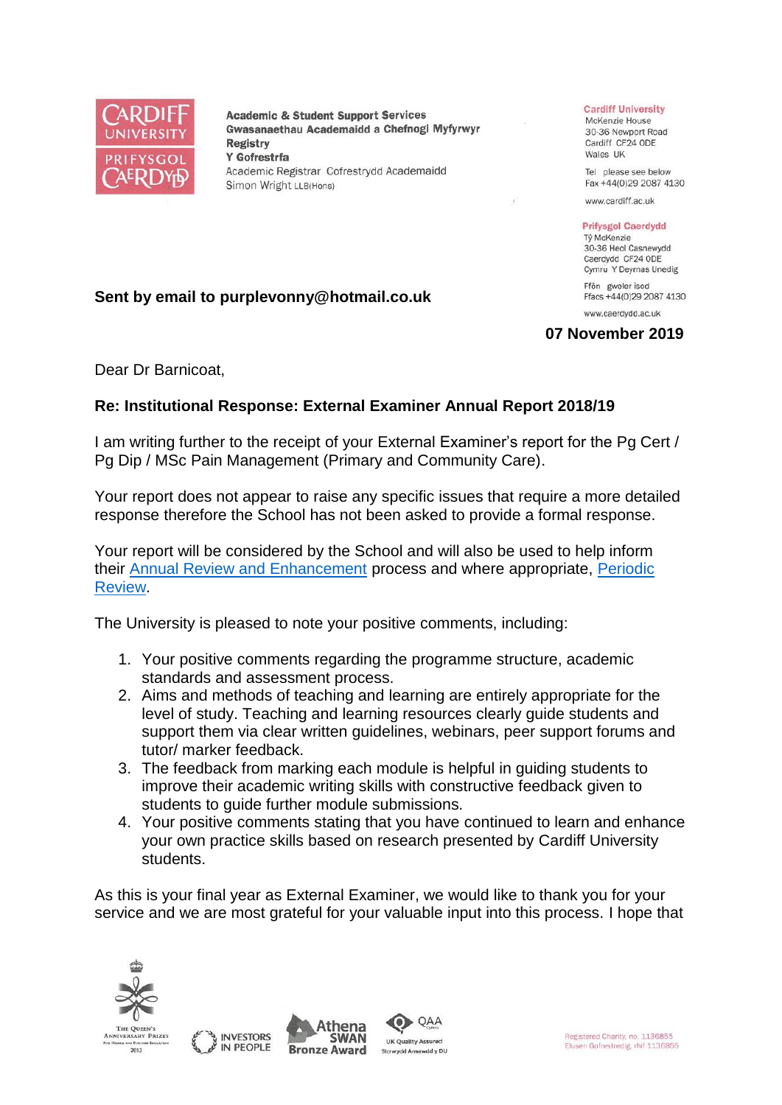

**Academic & Student Support Services** Gwasanaethau Academaidd a Chefnogi Myfyrwyr **Registry** Y Gofrestrfa Academic Registrar Cofrestrydd Academaidd Simon Wright LLB(Hons)

## **Cardiff University**

McKenzie House 30-36 Newport Road Cardiff CF24 ODE Wales UK

Tel please see below Fax +44(0)29 2087 4130

www.cardiff.ac.uk

## **Prifysgol Caerdydd**

Tỷ McKenzie 30-36 Heol Casnewydd Caerdydd CF24 ODE Cymru Y Deyrnas Unedig Ffôn gweler isod

Ffacs +44(0)29 2087 4130

www.caerdydd.ac.uk

## **07 November 2019**

Dear Dr Barnicoat,

## **Re: Institutional Response: External Examiner Annual Report 2018/19**

**Sent by email to purplevonny@hotmail.co.uk**

I am writing further to the receipt of your External Examiner's report for the Pg Cert / Pg Dip / MSc Pain Management (Primary and Community Care).

Your report does not appear to raise any specific issues that require a more detailed response therefore the School has not been asked to provide a formal response.

Your report will be considered by the School and will also be used to help inform their [Annual Review and Enhancement](https://www.cardiff.ac.uk/public-information/quality-and-standards/monitoring-and-review/annual-review-and-enhancement) process and where appropriate, [Periodic](http://www.cardiff.ac.uk/public-information/quality-and-standards/monitoring-and-review/periodic-review)  [Review.](http://www.cardiff.ac.uk/public-information/quality-and-standards/monitoring-and-review/periodic-review)

The University is pleased to note your positive comments, including:

- 1. Your positive comments regarding the programme structure, academic standards and assessment process.
- 2. Aims and methods of teaching and learning are entirely appropriate for the level of study. Teaching and learning resources clearly guide students and support them via clear written guidelines, webinars, peer support forums and tutor/ marker feedback.
- 3. The feedback from marking each module is helpful in guiding students to improve their academic writing skills with constructive feedback given to students to guide further module submissions.
- 4. Your positive comments stating that you have continued to learn and enhance your own practice skills based on research presented by Cardiff University students.

As this is your final year as External Examiner, we would like to thank you for your service and we are most grateful for your valuable input into this process. I hope that